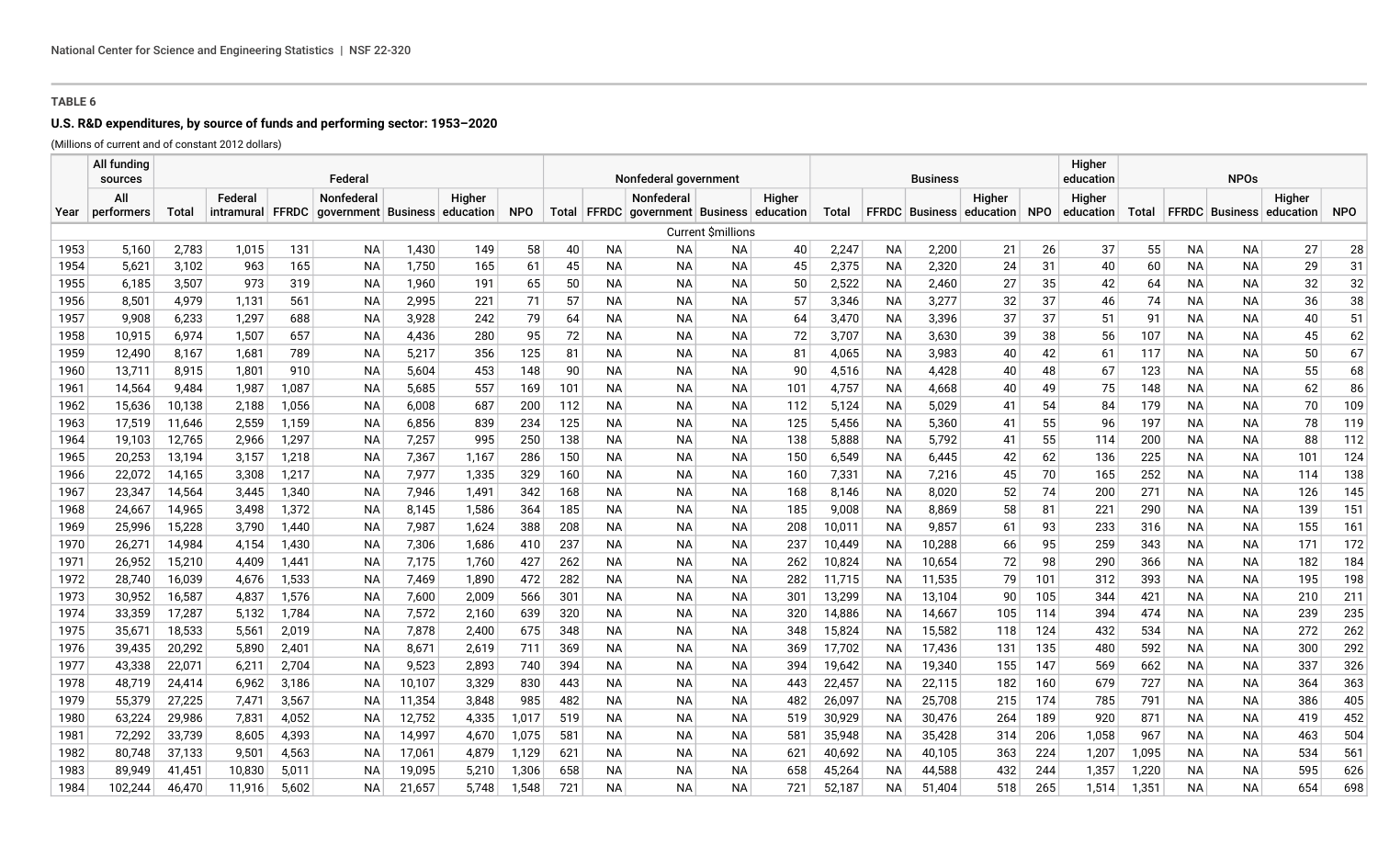## **U.S. R&D expenditures, by source of funds and performing sector: 1953–2020**

(Millions of current and of constant 2012 dollars)

|              | All funding<br>sources |                 |                |              | Federal                                        |                |            |            |           |                  | Nonfederal government                     |                          |            |                |                        | <b>Business</b> |                              |          | Higher<br>education | <b>NPOs</b> |                        |                  |                                 |            |
|--------------|------------------------|-----------------|----------------|--------------|------------------------------------------------|----------------|------------|------------|-----------|------------------|-------------------------------------------|--------------------------|------------|----------------|------------------------|-----------------|------------------------------|----------|---------------------|-------------|------------------------|------------------|---------------------------------|------------|
|              | All                    |                 | Federal        |              | Nonfederal                                     |                | Higher     |            |           |                  | Nonfederal                                |                          | Higher     |                |                        |                 | Higher                       |          | Higher              |             |                        |                  | Higher                          |            |
| Year         | performers             | <b>Total</b>    |                |              | intramural FFRDC government Business education |                |            | <b>NPO</b> |           |                  | Total FFRDC government Business education |                          |            | Total          |                        |                 | FFRDC Business education NPO |          | education           | Total       |                        |                  | <b>FFRDC</b> Business education | <b>NPO</b> |
|              |                        |                 |                |              |                                                |                |            |            |           |                  |                                           | <b>Current Smillions</b> |            |                |                        |                 |                              |          |                     |             |                        |                  |                                 |            |
| 1953         | 5,160                  | 2,783           | 1,015          | 131          | <b>NA</b>                                      | 1,430          | 149        | 58         | 40        | <b>NA</b>        | <b>NA</b>                                 | NA                       | 40         | 2,247          | <b>NA</b>              | 2,200           | 21                           | 26       | 37                  | 55          | <b>NA</b>              | <b>NA</b>        | 27                              | 28         |
| 1954         | 5,621                  | 3,102           | 963            | 165          | <b>NA</b>                                      | 1,750          | 165        | 61         | 45        | <b>NA</b>        | <b>NA</b>                                 | ΝA                       | 45         | 2,375          | <b>NA</b>              | 2,320           | 24                           | 31       | 40                  | 60          | <b>NA</b>              | <b>NA</b>        | 29                              | 31         |
| 1955         | 6,185                  | 3,507           | 973            | 319          | <b>NA</b>                                      | 1,960          | 191        | 65         | 50        | <b>NA</b>        | <b>NA</b>                                 | <b>NA</b>                | 50         | 2,522          | <b>NA</b>              | 2,460           | 27                           | 35       | 42                  | 64          | <b>NA</b>              | <b>NA</b>        | 32                              | 32         |
| 1956         | 8,501                  | 4,979           | 1,131          | 561          | <b>NA</b>                                      | 2,995          | 221        | 71         | 57        | <b>NA</b>        | <b>NA</b>                                 | <b>NA</b>                | 57         | 3,346          | <b>NA</b>              | 3,277           | 32                           | 37       | 46                  | 74          | <b>NA</b>              | <b>NA</b>        | 36                              | 38         |
| 1957         | 9.908                  | 6,233           | 1,297          | 688          | <b>NA</b>                                      | 3.928          | 242        | 79         | 64        | <b>NA</b>        | <b>NA</b>                                 | <b>NA</b>                | 64         | 3,470          | <b>NA</b>              | 3,396           | 37                           | 37       | 51                  | 91          | <b>NA</b>              | <b>NA</b>        | 40                              | 51         |
| 1958         | 10,915                 | 6,974           | 1,507          | 657          | ΝA                                             | 4,436          | 280        | 95         | 72        | NA.              | <b>NA</b>                                 | ΝA                       | 72         | 3,707          | NA                     | 3,630           | 39                           | 38       | 56                  | 107         | <b>NA</b>              | <b>NA</b>        | 45                              | 62         |
| 1959         | 12,490                 | 8,167           | 1,681          | 789          | <b>NA</b>                                      | 5,217          | 356        | 125        | 81        | <b>NA</b>        | <b>NA</b>                                 | <b>NA</b>                | 81         | 4,065          | <b>NA</b>              | 3,983           | 40                           | 42       | 61                  | 117         | <b>NA</b>              | NА               | 50                              | 67         |
| 1960         | 13,711<br>14,564       | 8,915           | 1.801<br>1,987 | 910<br>1,087 | ΝA                                             | 5,604          | 453<br>557 | 148        | 90<br>101 | NA.              | <b>NA</b>                                 | ΝA<br><b>NA</b>          | 90         | 4,516<br>4,757 | <b>NA</b>              | 4,428           | 40                           | 48<br>49 | 67<br>75            | 123         | <b>NA</b><br><b>NA</b> | NA.              | 55<br>62                        | 68<br>86   |
| 1961<br>1962 | 15,636                 | 9,484<br>10,138 | 2,188          | 1,056        | <b>NA</b><br>ΝA                                | 5,685<br>6,008 | 687        | 169<br>200 | 112       | <b>NA</b><br>NA. | <b>NA</b><br><b>NA</b>                    | <b>NA</b>                | 101<br>112 | 5,124          | <b>NA</b><br><b>NA</b> | 4,668<br>5,029  | 40<br>41                     | 54       | 84                  | 148<br>179  | <b>NA</b>              | <b>NA</b><br>NA. | 70                              | 109        |
| 1963         | 17,519                 | 11,646          | 2,559          | 1,159        | ΝA                                             | 6,856          | 839        | 234        | 125       | <b>NA</b>        | NA                                        | ΝA                       | 125        | 5,456          | <b>NA</b>              | 5,360           | 41                           | 55       | 96                  | 197         | <b>NA</b>              | NА               | 78                              | 119        |
| 1964         | 19,103                 | 12,765          | 2,966          | 1,297        | NA                                             | 7,257          | 995        | 250        | 138       | NA.              | <b>NA</b>                                 | <b>NA</b>                | 138        | 5,888          | <b>NA</b>              | 5,792           | 41                           | 55       | 114                 | 200         | <b>NA</b>              | <b>NA</b>        | 88                              | 112        |
| 1965         | 20,253                 | 13,194          | 3,157          | 1,218        | ΝA                                             | 7,367          | 1,167      | 286        | 150       | NA.              | NA                                        | ΝA                       | 150        | 6,549          | <b>NA</b>              | 6,445           | 42                           | 62       | 136                 | 225         | <b>NA</b>              | NА               | 101                             | 124        |
| 1966         | 22,072                 | 14,165          | 3,308          | 1,217        | <b>NA</b>                                      | 7,977          | 1,335      | 329        | 160       | NА               | NA                                        | <b>NA</b>                | 160        | 7,331          | <b>NA</b>              | 7,216           | 45                           | 70       | 165                 | 252         | NА                     | NА               | 114                             | 138        |
| 1967         | 23,347                 | 14,564          | 3,445          | 1,340        | ΝA                                             | 7,946          | 1,491      | 342        | 168       | NA.              | <b>NA</b>                                 | ΝA                       | 168        | 8,146          | <b>NA</b>              | 8,020           | 52                           | 74       | 200                 | 271         | <b>NA</b>              | <b>NA</b>        | 126                             | 145        |
| 1968         | 24,667                 | 14,965          | 3,498          | 1,372        | NA                                             | 8,145          | 1,586      | 364        | 185       | NА               | NA                                        | ΝA                       | 185        | 9,008          | ΝA                     | 8,869           | 58                           | 81       | 221                 | 290         | <b>NA</b>              | NA.              | 139                             | 151        |
| 1969         | 25,996                 | 15,228          | 3.790          | 1,440        | ΝA                                             | 7,987          | 1,624      | 388        | 208       | NA.              | <b>NA</b>                                 | ΝA                       | 208        | 10,011         | <b>NA</b>              | 9.857           | 61                           | 93       | 233                 | 316         | <b>NA</b>              | <b>NA</b>        | 155                             | 161        |
| 1970         | 26,271                 | 14,984          | 4,154          | 1,430        | ΝA                                             | 7,306          | 1,686      | 410        | 237       | NA.              | NA                                        | ΝA                       | 237        | 10,449         | <b>NA</b>              | 10,288          | 66                           | 95       | 259                 | 343         | <b>NA</b>              | NА               | 171                             | 172        |
| 1971         | 26,952                 | 15,210          | 4,409          | 1,441        | NA                                             | 7,175          | 1,760      | 427        | 262       | NА               | NA                                        | ΝA                       | 262        | 10,824         | <b>NA</b>              | 10,654          | 72                           | 98       | 290                 | 366         | NА                     | NА               | 182                             | 184        |
| 1972         | 28,740                 | 16,039          | 4,676          | 1,533        | ΝA                                             | 7,469          | 1,890      | 472        | 282       | NA.              | NA                                        | ΝA                       | 282        | 11,715         | ΝA                     | 11,535          | 79                           | 101      | 312                 | 393         | <b>NA</b>              | NA.              | 195                             | 198        |
| 1973         | 30,952                 | 16,587          | 4,837          | 1,576        | <b>NA</b>                                      | 7,600          | 2,009      | 566        | 301       | <b>NA</b>        | <b>NA</b>                                 | <b>NA</b>                | 301        | 13,299         | <b>NA</b>              | 13,104          | 90                           | 105      | 344                 | 421         | <b>NA</b>              | NА               | 210                             | 211        |
| 1974         | 33,359                 | 17,287          | 5.132          | 1,784        | ΝA                                             | 7,572          | 2,160      | 639        | 320       | NA.              | <b>NA</b>                                 | ΝA                       | 320        | 14,886         | <b>NA</b>              | 14,667          | 105                          | 114      | 394                 | 474         | <b>NA</b>              | <b>NA</b>        | 239                             | 235        |
| 1975         | 35,671                 | 18,533          | 5,561          | 2,019        | NA                                             | 7,878          | 2,400      | 675        | 348       | NА               | NA                                        | ΝA                       | 348        | 15,824         | ΝA                     | 15,582          | 118                          | 124      | 432                 | 534         | <b>NA</b>              | NA.              | 272                             | 262        |
| 1976         | 39,435                 | 20,292          | 5,890          | 2,401        | <b>NA</b>                                      | 8,671          | 2,619      | 711        | 369       | NA               | NA                                        | ΝA                       | 369        | 17,702         | <b>NA</b>              | 17,436          | 131                          | 135      | 480                 | 592         | NА                     | NА               | 300                             | 292        |
| 1977         | 43,338                 | 22,071          | 6,211          | 2,704        | ΝA                                             | 9,523          | 2,893      | 740        | 394       | NA.              | <b>NA</b>                                 | ΝA                       | 394        | 19,642         | ΝA                     | 19,340          | 155                          | 147      | 569                 | 662         | <b>NA</b>              | NA.              | 337                             | 326        |
| 1978         | 48,719                 | 24,414          | 6,962          | 3,186        | <b>NA</b>                                      | 10,107         | 3,329      | 830        | 443       | <b>NA</b>        | <b>NA</b>                                 | ΝA                       | 443        | 22,457         | <b>NA</b>              | 22,115          | 182                          | 160      | 679                 | 727         | <b>NA</b>              | NА               | 364                             | 363        |
| 1979         | 55,379                 | 27,225          | 7,471          | 3,567        | ΝA                                             | 11,354         | 3,848      | 985        | 482       | NA.              | NA                                        | <b>NA</b>                | 482        | 26,097         | <b>NA</b>              | 25,708          | 215                          | 174      | 785                 | 791         | NA                     | <b>NA</b>        | 386                             | 405        |
| 1980         | 63,224                 | 29,986          | 7,831          | 4,052        | ΝA                                             | 12,752         | 4,335      | 1,017      | 519       | <b>NA</b>        | NA                                        | <b>NA</b>                | 519        | 30,929         | ΝA                     | 30,476          | 264                          | 189      | 920                 | 871         | NA                     | NA.              | 419                             | 452        |
| 1981         | 72,292                 | 33,739          | 8,605          | 4,393        | <b>NA</b>                                      | 14,997         | 4,670      | 1,075      | 581       | NА               | NA                                        | NА                       | 581        | 35,948         | <b>NA</b>              | 35,428          | 314                          | 206      | 1,058               | 967         | NA                     | NА               | 463                             | 504        |
| 1982         | 80,748                 | 37,133          | 9,501          | 4,563        | ΝA                                             | 17,061         | 4,879      | 1,129      | 621       | NА               | NA                                        | NА                       | 621        | 40,692         | ΝA                     | 40,105          | 363                          | 224      | 1,207               | 1,095       | NA                     | NA.              | 534                             | 561        |
| 1983         | 89,949                 | 41,451          | 10,830         | 5,011        | ΝA                                             | 19,095         | 5,210      | 1,306      | 658       | NА               | NA                                        | <b>NA</b>                | 658        | 45,264         | <b>NA</b>              | 44,588          | 432                          | 244      | 1,357               | 1,220       | NА                     | NА               | 595                             | 626        |
| 1984         | 102,244                | 46,470          | 11,916         | 5,602        | <b>NA</b>                                      | 21,657         | 5.748      | 1,548      | 721       | <b>NA</b>        | <b>NA</b>                                 | <b>NA</b>                | 721        | 52,187         | <b>NA</b>              | 51,404          | 518                          | 265      | 1,514               | 1,351       | <b>NA</b>              | NA.              | 654                             | 698        |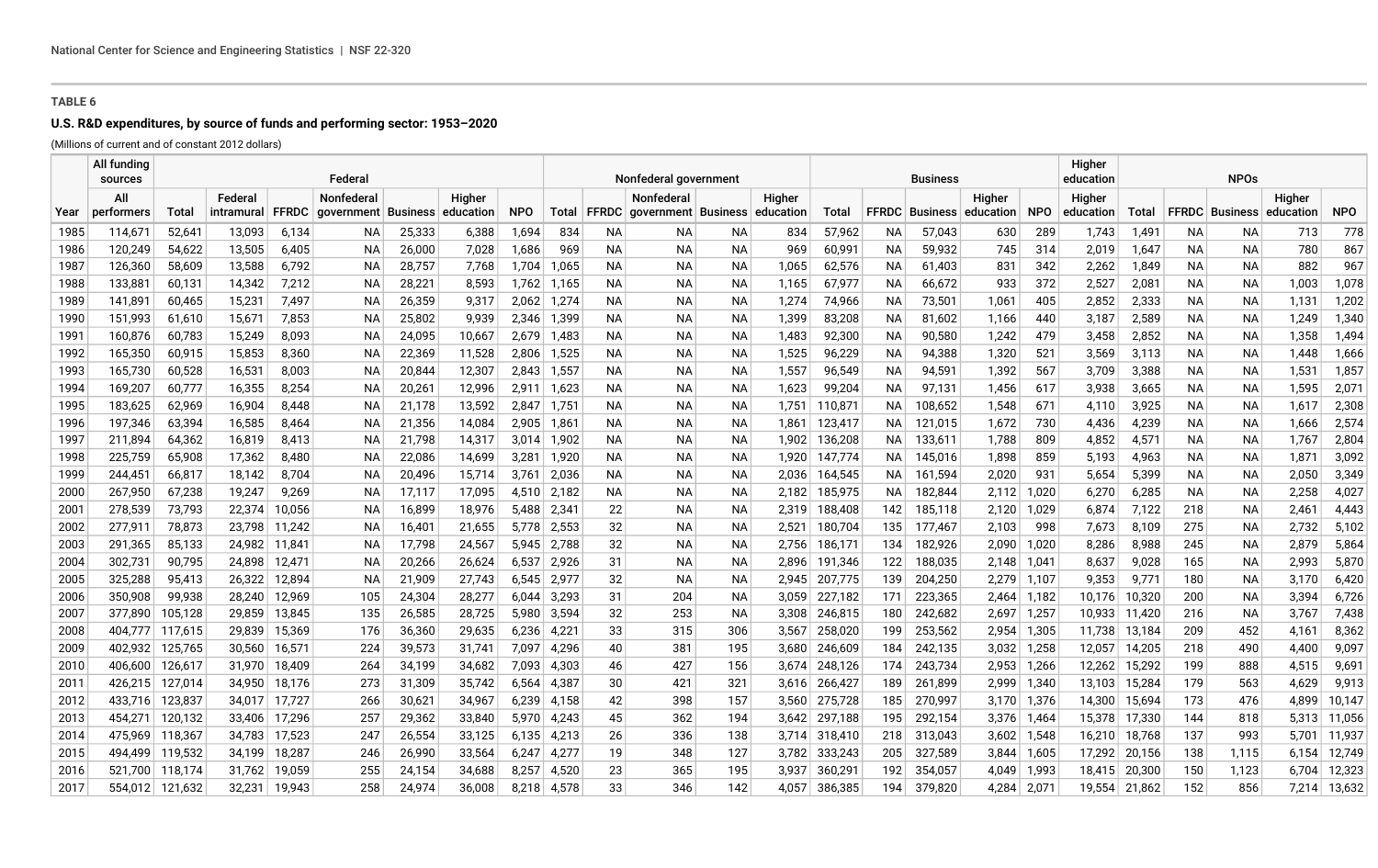## **U.S. R&D expenditures, by source of funds and performing sector: 1953–2020**

(Millions of current and of constant 2012 dollars)

|              | All fundina<br>sources |                  |                  |                | Federal                       |                  |                |                |                |           | Nonfederal government                     |          |                |                  |          | <b>Business</b>  |                              |            | Higher<br>education | <b>NPOs</b>    |          |                              |              |              |
|--------------|------------------------|------------------|------------------|----------------|-------------------------------|------------------|----------------|----------------|----------------|-----------|-------------------------------------------|----------|----------------|------------------|----------|------------------|------------------------------|------------|---------------------|----------------|----------|------------------------------|--------------|--------------|
|              | All                    |                  | Federal          |                | <b>Nonfederal</b>             |                  | Higher         |                |                |           | Nonfederal                                |          | Higher         |                  |          |                  | Higher                       |            | Higher              |                |          |                              | Higher       |              |
| Year         | performers             | Total            | intramural       | <b>FFRDC</b>   | qovernment Business education |                  |                | <b>NPO</b>     |                |           | Total FFRDC government Business education |          |                | Total            |          |                  | FFRDC   Business   education | <b>NPO</b> | education           | Total          |          | FFRDC   Business   education |              | <b>NPO</b>   |
| 1985         | 114,671                | 52,641           | 13,093           | 6.134          | NA.                           | 25,333           | 6,388          | 1,694          | 834            | NA.       | NA.                                       | ΝA       | 834            | 57,962           | ΝA       | 57,043           | 630                          | 289        | 1,743               | 1,491          | NA.      | ΝA                           | 713          | 778          |
| 1986         | 120,249                | 54,622           | 13,505           | 6,405          | NA.                           | 26,000           | 7,028          | 1,686          | 969            | NA.       | ΝA                                        | ΝA       | 969            | 60,991           | ΝA       | 59,932           | 745                          | 314        | 2,019               | 1,647          | NА       | NA.                          | 780          | 867          |
| 1987<br>1988 | 126,360<br>133,881     | 58,609<br>60,131 | 13,588<br>14,342 | 6,792<br>7,212 | NА<br>NA.                     | 28,757<br>28,221 | 7,768<br>8,593 | 1,704<br>1,762 | 1,065<br>1,165 | NА<br>NA. | NA<br>NA.                                 | NА<br>ΝA | 1,065<br>1,165 | 62,576<br>67,977 | ΝA<br>ΝA | 61,403<br>66,672 | 831<br>933                   | 342<br>372 | 2,262<br>2,527      | 1,849<br>2,081 | NA<br>NА | NА<br>NA.                    | 882<br>1,003 | 967<br>1,078 |
| 1989         | 141,891                | 60,465           | 15,231           | 7,497          | NA.                           | 26,359           | 9,317          | 2,062          | 1,274          | NA.       | NA.                                       | ΝA       | 1,274          | 74,966           | ΝA       | 73,501           | 1,061                        | 405        | 2,852               | 2,333          | NА       | NA.                          | 1,131        | 1,202        |
| 1990         | 151,993                | 61,610           | 15,67'           | 7,853          | NA.                           | 25,802           | 9,939          | 2,346          | 1,399          | NA.       | ΝA                                        | ΝA       | 1,399          | 83,208           | ΝA       | 81,602           | 1,166                        | 440        | 3,187               | 2,589          | NA       | <b>NA</b>                    | 1,249        | 1,340        |
| 1991         | 160,876                | 60,783           | 15,249           | 8,093          | NA.                           | 24,095           | 10,667         | 2,679          | 1,483          | NA.       | NA.                                       | ΝA       | 1,483          | 92,300           | ΝA       | 90,580           | 1,242                        | 479        | 3,458               | 2,852          | NА       | NA                           | 1,358        | 1,494        |
| 1992         | 165,350                | 60,915           | 15,853           | 8,360          | NA.                           | 22,369           | 11,528         | 2,806          | 1,525          | NА        | NA.                                       | ΝA       | 1,525          | 96,229           | ΝA       | 94,388           | 1,320                        | 521        | 3,569               | 3,113          | NА       | NA                           | 1,448        | 1,666        |
| 1993         | 165,730                | 60,528           | 16,531           | 8,003          | NA.                           | 20,844           | 12,307         | 2,843          | 1,557          | NA.       | ΝA                                        | ΝA       | 1,557          | 96,549           | ΝA       | 94,591           | 1,392                        | 567        | 3,709               | 3,388          | NА       | NA                           | 1,531        | 1,857        |
| 1994         | 169,207                | 60,777           | 16,355           | 8,254          | NА                            | 20,261           | 12,996         | 2,911          | 1,623          | NA.       | NA                                        | ΝA       | 1,623          | 99,204           | ΝA       | 97,131           | 1,456                        | 617        | 3,938               | 3,665          | NA       | NA                           | 1,595        | 2,071        |
| 1995         | 183,625                | 62,969           | 16,904           | 8,448          | NA.                           | 21,178           | 13,592         | 2,847          | 1,751          | NA.       | NA.                                       | ΝA       | 1,751          | 110,871          | NA.      | 108,652          | 1,548                        | 671        | 4,110               | 3,925          | NА       | <b>NA</b>                    | 1,617        | 2,308        |
| 1996         | 197,346                | 63,394           | 16,585           | 8,464          | ΝA                            | 21,356           | 14,084         | 2,905          | 1,861          | NA.       | ΝA                                        | ΝA       | 1,861          | 123,417          | ΝA       | 121,015          | 1,672                        | 730        | 4,436               | 4,239          | NА       | NA                           | 1,666        | 2,574        |
| 1997         | 211,894                | 64,362           | 16,819           | 8,413          | NA.                           | 21,798           | 14,317         | 3,014          | 1,902          | NA.       | NA.                                       | ΝA       | 1,902          | 136,208          | NA.      | 133,611          | 1,788                        | 809        | 4,852               | 4,571          | NА       | <b>NA</b>                    | 1,767        | 2,804        |
| 1998         | 225,759                | 65,908           | 17,362           | 8,480          | ΝA                            | 22,086           | 14,699         | 3,281          | 1,920          | NA.       | ΝA                                        | ΝA       | 1,920          | 147,774          | NA.      | 145,016          | 1,898                        | 859        | 5,193               | 4,963          | NА       | ΝA                           | 1,871        | 3,092        |
| 1999         | 244,451                | 66,817           | 18,142           | 8,704          | ΝA                            | 20,496           | 15,714         | 3,761          | 2,036          | NA.       | NA                                        | ΝA       | 2,036          | 164,545          | NА       | 161,594          | 2,020                        | 931        | 5,654               | 5,399          | NA       | ΝA                           | 2,050        | 3,349        |
| 2000         | 267,950                | 67,238           | 19,247           | 9,269          | NA.                           | 17,117           | 17,095         | 4,510          | 2,182          | NA.       | NA.                                       | ΝA       | 2,182          | 185,975          | NA.      | 182,844          | 2,112                        | 1,020      | 6,270               | 6,285          | NА       | <b>NA</b>                    | 2,258        | 4,027        |
| 2001         | 278,539                | 73,793           | 22,374           | 10,056         | ΝA                            | 16,899           | 18,976         | 5,488          | 2,341          | 22        | ΝA                                        | NА       | 2,319          | 188,408          | 142      | 185,118          | 2,120                        | 1,029      | 6,874               | 7,122          | 218      | ΝA                           | 2,461        | 4,443        |
| 2002         | 277,911                | 78,873           | 23.798           | 11.242         | NA.                           | 16,401           | 21,655         | 5,778          | 2,553          | 32        | ΝA                                        | ΝA       | 2,521          | 180,704          | 135      | 177,467          | 2,103                        | 998        | 7,673               | 8,109          | 275      | NA                           | 2,732        | 5,102        |
| 2003         | 291,365                | 85,133           | 24,982           | 11,841         | NA.                           | 17,798           | 24,567         | 5,945          | 2,788          | 32        | ΝA                                        | ΝA       | 2,756          | 186,171          | 134      | 182,926          | 2,090                        | 1,020      | 8,286               | 8,988          | 245      | NA                           | 2,879        | 5,864        |
| 2004         | 302,731                | 90,795           | 24,898           | 12,471         | ΝA                            | 20,266           | 26,624         | 6,537          | 2,926          | 31        | NA                                        | ΝA       | 2,896          | 191,346          | 122      | 188,035          | 2,148                        | 1,041      | 8,637               | 9,028          | 165      | ΝA                           | 2,993        | 5,870        |
| 2005         | 325,288                | 95,413           | 26.322           | 12,894         | NA.                           | 21,909           | 27,743         | 6,545          | 2,977          | 32        | NA.                                       | ΝA       | 2,945          | 207,775          | 139      | 204,250          | 2,279                        | 1,107      | 9,353               | 9,771          | 180      | <b>NA</b>                    | 3,170        | 6,420        |
| 2006         | 350,908                | 99,938           | 28,240           | 12,969         | 105                           | 24,304           | 28,277         | 6,044          | 3,293          | 31        | 204                                       | NА       | 3,059          | 227,182          | 171      | 223,365          | 2,464                        | 1,182      | 10,176              | 10,320         | 200      | NA.                          | 3,394        | 6,726        |
| 2007         | 377,890                | 105,128          | 29,859           | 13,845         | 135                           | 26,585           | 28,725         | 5,980          | 3,594          | 32        | 253                                       | ΝA       | 3,308          | 246,815          | 180      | 242,682          | 2,697                        | 1,257      | 10,933              | 11,420         | 216      | NA                           | 3,767        | 7,438        |
| 2008         | 404,777                | 117,615          | 29,839           | 15,369         | 176                           | 36,360           | 29,635         | 6,236          | 4,221          | 33        | 315                                       | 306      | 3,567          | 258,020          | 199      | 253,562          | 2,954                        | 1,305      | 11,738              | 13,184         | 209      | 452                          | 4,161        | 8,362        |
| 2009         | 402,932                | 125,765          | 30,560           | 16,571         | 224                           | 39,573           | 31,741         | 7,097          | 4,296          | 40        | 381                                       | 195      | 3,680          | 246,609          | 184      | 242,135          | 3,032                        | 1,258      | 12,057              | 14,205         | 218      | 490                          | 4,400        | 9,097        |
| 2010         | 406,600                | 126,617          | 31,970           | 18,409         | 264                           | 34,199           | 34,682         | 7,093          | 4,303          | 46        | 427                                       | 156      | 3,674          | 248,126          | 174      | 243,734          | 2,953                        | 1,266      | 12,262              | 15,292         | 199      | 888                          | 4,515        | 9,691        |
| 2011         | 426,215                | 127,014          | 34,950           | 18,176         | 273                           | 31,309           | 35,742         | 6,564          | 4,387          | 30        | 421                                       | 321      | 3,616          | 266,427          | 189      | 261,899          | 2,999                        | 1,340      | 13,103              | 15,284         | 179      | 563                          | 4,629        | 9,913        |
| 2012         | 433,716                | 123,837          | 34,017           | 17,727         | 266                           | 30,621           | 34,967         | 6,239          | 4,158          | 42        | 398                                       | 157      | 3,560          | 275,728          | 185      | 270,997          | 3,170                        | 1,376      | 14,300              | 15,694         | 173      | 476                          | 4,899        | 10,147       |
| 2013         | 454,271                | 120,132          | 33,406           | 17,296         | 257                           | 29,362           | 33,840         | 5,970          | 4,243          | 45        | 362                                       | 194      | 3,642          | 297,188          | 195      | 292,154          | 3,376                        | 1,464      | 15,378              | 17,330         | 144      | 818                          | 5,313        | 11,056       |
| 2014         | 475,969                | 118,367          | 34,783           | 17,523         | 247                           | 26,554           | 33,125         | 6,135          | 4,213          | 26        | 336                                       | 138      | 3,714          | 318,410          | 218      | 313,043          | 3,602                        | 1,548      | 16,210              | 18,768         | 137      | 993                          | 5,701        | 11,937       |
| 2015         | 494,499                | 119,532          | 34,199           | 18,287         | 246                           | 26,990           | 33,564         | 6,247          | 4,277          | 19        | 348                                       | 127      | 3,782          | 333,243          | 205      | 327,589          | 3,844                        | 1,605      | 17,292              | 20,156         | 138      | 1,115                        | 6,154        | 12,749       |
| 2016         | 521,700                | 118,174          | 31,762           | 19,059         | 255                           | 24,154           | 34,688         | 8,257          | 4,520          | 23        | 365                                       | 195      | 3,937          | 360,291          | 192      | 354,057          | 4,049                        | 1,993      | 18,415              | 20,300         | 150      | 1,123                        | 6,704        | 12,323       |
| 2017         | 554,012                | 121,632          | 32,231           | 19,943         | 258                           | 24,974           | 36,008         | 8,218          | 4,578          | 33        | 346                                       | 142      | 4,057          | 386,385          | 194      | 379,820          | 4,284                        | 2,071      | 19,554              | 21,862         | 152      | 856                          | 7,214        | 13,632       |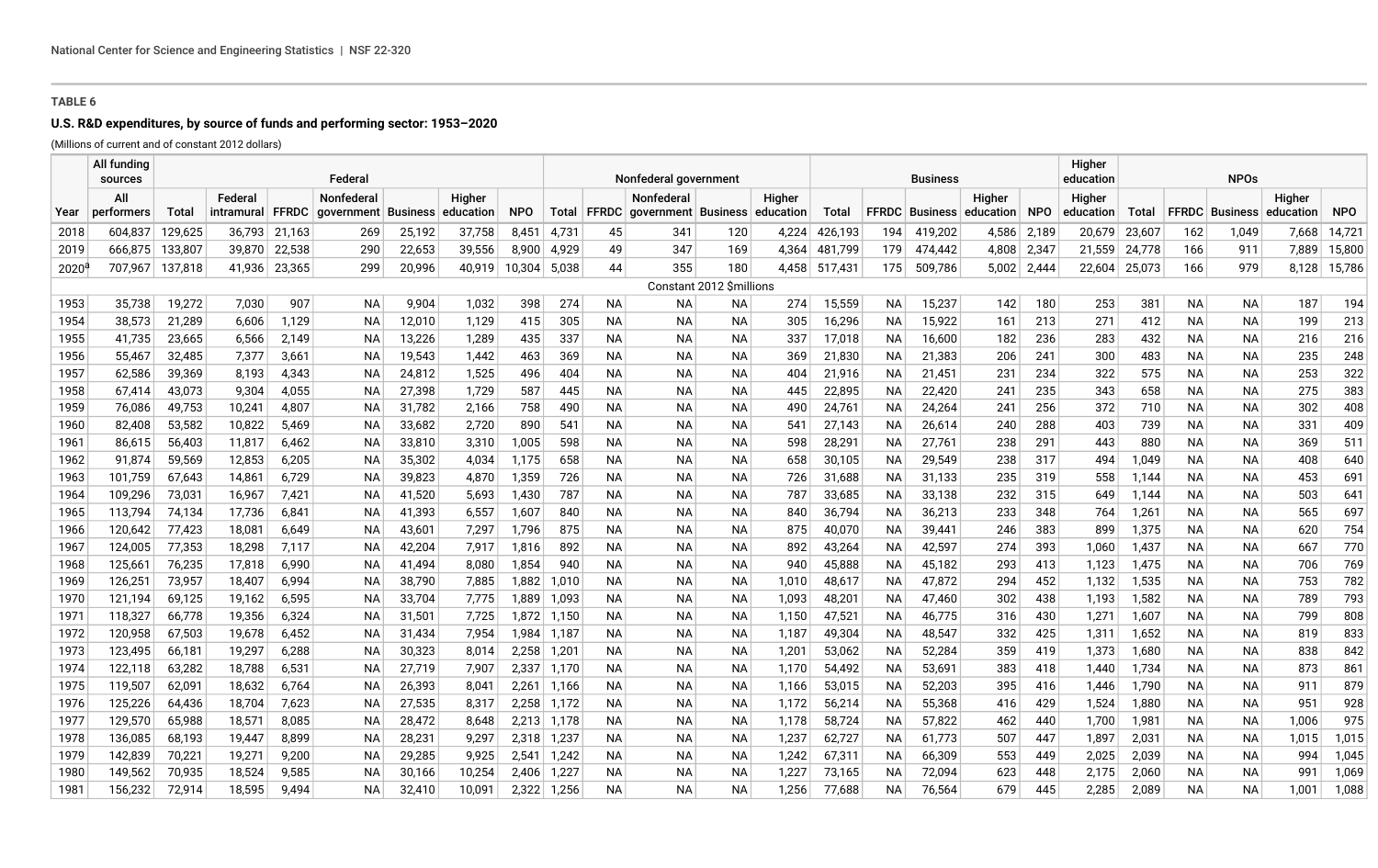# **U.S. R&D expenditures, by source of funds and performing sector: 1953–2020**

(Millions of current and of constant 2012 dollars)

|              | All funding<br>sources |                                                                         |                  |                | Federal   |                  |                |                | Nonfederal government |                        |                                                   |                          |                |                  |                 | <b>Business</b>  |                                 |            | Higher<br>education | <b>NPOs</b>    |                  |                        |            |            |
|--------------|------------------------|-------------------------------------------------------------------------|------------------|----------------|-----------|------------------|----------------|----------------|-----------------------|------------------------|---------------------------------------------------|--------------------------|----------------|------------------|-----------------|------------------|---------------------------------|------------|---------------------|----------------|------------------|------------------------|------------|------------|
|              | All                    | Federal<br>Nonfederal<br>Higher<br>intramural FFRDC government Business |                  |                |           |                  |                |                |                       |                        | Nonfederal                                        |                          | Higher         |                  |                 |                  | Higher                          |            | Higher              |                |                  |                        | Higher     |            |
| Year         | performers             | Total                                                                   |                  |                |           |                  | education      | <b>NPO</b>     |                       |                        | Total   FFRDC   government   Business   education |                          |                | Total            |                 |                  | <b>FFRDC</b> Business education | <b>NPO</b> | education           | Total          |                  | <b>FFRDC</b> Business  | education  | <b>NPO</b> |
| 2018         | 604,837                | 129,625                                                                 |                  | 36,793 21,163  | 269       | 25,192           | 37,758         | 8,451          | 4,731                 | 45                     | 341                                               | 120                      | 4,224          | 426,193          | 194             | 419,202          | 4,586                           | 2,189      | 20,679              | 23,607         | 162              | 1.049                  | 7.668      | 14,721     |
| 2019         | 666,875                | 133,807                                                                 |                  | 39,870 22,538  | 290       | 22,653           | 39,556         | 8,900          | 4,929                 | 49                     | 347                                               | 169                      | 4,364          | 481,799          | 179             | 474,442          | 4,808                           | 2,347      | 21,559              | 24,778         | 166              | 911                    | 7,889      | 15,800     |
| $2020^6$     | 707,967                | 137,818                                                                 | 41,936           | 23,365         | 299       | 20,996           | 40,919         | 10,304         | 5,038                 | 44                     | 355                                               | 180                      | 4,458          | 517,431          | 175             | 509,786          | 5,002                           | 2,444      | 22,604              | 25,073         | 166              | 979                    | 8,128      | 15,786     |
|              |                        |                                                                         |                  |                |           |                  |                |                |                       |                        |                                                   | Constant 2012 \$millions |                |                  |                 |                  |                                 |            |                     |                |                  |                        |            |            |
| 1953         | 35,738                 | 19,272                                                                  | 7,030            | 907            | <b>NA</b> | 9,904            | 1,032          | 398            | 274                   | <b>NA</b>              | NA                                                | ΝA                       | 274            | 15,559           | <b>NA</b>       | 15,237           | 142                             | 180        | 253                 | 381            | <b>NA</b>        | <b>NA</b>              | 187        | 194        |
| 1954         | 38,573                 | 21,289                                                                  | 6,606            | 1,129          | <b>NA</b> | 12,010           | 1,129          | 415            | 305                   | <b>NA</b>              | <b>NA</b>                                         | <b>NA</b>                | 305            | 16,296           | <b>NA</b>       | 15,922           | 161                             | 213        | 271                 | 412            | <b>NA</b>        | <b>NA</b>              | 199        | 213        |
| 1955         | 41,735                 | 23,665                                                                  | 6,566            | 2,149          | ΝA        | 13,226           | 1,289          | 435            | 337                   | <b>NA</b>              | <b>NA</b>                                         | ΝA                       | 337            | 17,018           | <b>NA</b>       | 16,600           | 182                             | 236        | 283                 | 432            | <b>NA</b>        | <b>NA</b>              | 216        | 216        |
| 1956         | 55,467                 | 32,485                                                                  | 7,377            | 3,661          | ΝA        | 19,543           | 1,442          | 463            | 369                   | ΝA                     | NA                                                | ΝA                       | 369            | 21,830           | ΝA              | 21,383           | 206                             | 241        | 300                 | 483            | NА               | <b>NA</b>              | 235        | 248        |
| 1957         | 62,586                 | 39,369                                                                  | 8,193            | 4,343          | ΝA        | 24,812           | 1,525          | 496            | 404                   | <b>NA</b>              | <b>NA</b>                                         | <b>NA</b>                | 404            | 21,916           | <b>NA</b>       | 21,451           | 231                             | 234        | 322                 | 575            | <b>NA</b>        | <b>NA</b>              | 253        | 322        |
| 1958         | 67,414                 | 43,073                                                                  | 9,304            | 4,055          | ΝA        | 27,398           | 1,729          | 587            | 445                   | <b>NA</b>              | <b>NA</b>                                         | <b>NA</b>                | 445            | 22,895           | <b>NA</b>       | 22,420           | 241                             | 235        | 343                 | 658            | <b>NA</b>        | <b>NA</b>              | 275        | 383        |
| 1959         | 76,086                 | 49,753                                                                  | 10,241           | 4,807          | <b>NA</b> | 31,782           | 2,166          | 758            | 490                   | <b>NA</b>              | <b>NA</b>                                         | <b>NA</b>                | 490            | 24,761           | <b>NA</b>       | 24,264           | 241                             | 256        | 372                 | 710            | <b>NA</b>        | <b>NA</b>              | 302        | 408        |
| 1960         | 82,408                 | 53,582                                                                  | 10,822           | 5,469          | ΝA        | 33,682           | 2,720          | 890            | 541                   | <b>NA</b>              | <b>NA</b>                                         | <b>NA</b>                | 541            | 27,143           | <b>NA</b>       | 26,614           | 240                             | 288        | 403                 | 739            | <b>NA</b>        | <b>NA</b>              | 331        | 409        |
| 1961         | 86,615                 | 56,403                                                                  | 11,817           | 6,462          | NA        | 33,810           | 3,310          | 1,005          | 598                   | NА                     | NA.                                               | ΝA                       | 598            | 28,291           | ΝA              | 27,761           | 238                             | 291        | 443                 | 880            | NА               | ΝA                     | 369        | 511        |
| 1962         | 91,874                 | 59,569                                                                  | 12,853           | 6,205          | ΝA        | 35,302           | 4,034          | 1,175          | 658                   | NА                     | <b>NA</b>                                         | NA                       | 658            | 30,105           | ΝA              | 29,549           | 238                             | 317        | 494                 | 1,049          | <b>NA</b>        | ΝA                     | 408        | 640        |
| 1963         | 101,759                | 67,643                                                                  | 14,861           | 6,729          | ΝA        | 39,823           | 4,870          | 1,359          | 726                   | <b>NA</b>              | <b>NA</b>                                         | <b>NA</b>                | 726            | 31,688           | ΝA              | 31,133           | 235                             | 319        | 558                 | 1,144          | <b>NA</b>        | NА                     | 453        | 691        |
| 1964         | 109,296                | 73,031                                                                  | 16,967           | 7,421          | ΝA        | 41,520           | 5,693          | 1,430          | 787                   | <b>NA</b>              | <b>NA</b>                                         | <b>NA</b>                | 787            | 33,685           | <b>NA</b>       | 33,138           | 232                             | 315        | 649                 | 1,144          | <b>NA</b>        | <b>NA</b>              | 503        | 641        |
| 1965         | 113,794                | 74,134                                                                  | 17,736           | 6,841          | ΝA        | 41,393           | 6,557          | 1,607          | 840                   | <b>NA</b>              | <b>NA</b>                                         | <b>NA</b>                | 840            | 36,794           | <b>NA</b>       | 36,213           | 233                             | 348        | 764                 | 1,261          | <b>NA</b>        | <b>NA</b>              | 565        | 697        |
| 1966         | 120,642                | 77,423                                                                  | 18,081           | 6,649          | <b>NA</b> | 43,601           | 7,297          | 1,796          | 875                   | <b>NA</b>              | <b>NA</b>                                         | <b>NA</b>                | 875            | 40,070           | <b>NA</b>       | 39,441           | 246                             | 383        | 899                 | 1,375          | <b>NA</b>        | <b>NA</b>              | 620        | 754        |
| 1967         | 124,005                | 77,353                                                                  | 18,298           | 7,117          | ΝA        | 42,204           | 7,917          | 1,816          | 892                   | <b>NA</b>              | <b>NA</b>                                         | <b>NA</b>                | 892            | 43,264           | <b>NA</b>       | 42,597           | 274                             | 393        | 1,060               | 1,437          | <b>NA</b>        | <b>NA</b>              | 667        | 770        |
| 1968         | 125,661                | 76,235                                                                  | 17,818           | 6,990          | ΝA        | 41,494           | 8,080          | 1,854          | 940                   | <b>NA</b>              | <b>NA</b>                                         | <b>NA</b>                | 940            | 45,888           | <b>NA</b>       | 45,182           | 293                             | 413        | 1,123               | 1,475          | <b>NA</b>        | <b>NA</b>              | 706        | 769        |
| 1969         | 126,251                | 73,957                                                                  | 18,407           | 6,994          | ΝA        | 38,790           | 7,885          | 1,882          | 1,010                 | <b>NA</b>              | <b>NA</b>                                         | <b>NA</b>                | 1,010          | 48,617           | <b>NA</b>       | 47,872           | 294                             | 452        | 1,132               | 1,535          | <b>NA</b>        | <b>NA</b>              | 753        | 782        |
| 1970         | 121,194                | 69,125<br>66,778                                                        | 19,162           | 6,595          | <b>NA</b> | 33,704           | 7,775          | 1,889          | 1,093                 | <b>NA</b>              | <b>NA</b>                                         | <b>NA</b>                | 1,093          | 48,201           | <b>NA</b>       | 47,460           | 302                             | 438        | 1,193               | 1,582          | <b>NA</b>        | <b>NA</b>              | 789        | 793        |
| 1971<br>1972 | 118,327<br>120,958     | 67,503                                                                  | 19,356<br>19,678 | 6,324<br>6,452 | ΝA<br>ΝA  | 31,501<br>31,434 | 7,725<br>7,954 | 1,872<br>1,984 | 1,150<br>1,187        | <b>NA</b><br><b>NA</b> | <b>NA</b><br><b>NA</b>                            | <b>NA</b><br>ΝA          | 1,150<br>1,187 | 47,521<br>49,304 | <b>NA</b><br>NА | 46,775<br>48,547 | 316<br>332                      | 430<br>425 | 1,271<br>1,311      | 1,607<br>1,652 | <b>NA</b><br>NA. | <b>NA</b><br><b>NA</b> | 799<br>819 | 808<br>833 |
| 1973         | 123,495                | 66,181                                                                  | 19,297           | 6,288          | ΝA        | 30,323           | 8,014          | 2,258          | 1,201                 | <b>NA</b>              | <b>NA</b>                                         | <b>NA</b>                | 1,201          | 53,062           | NA              | 52,284           | 359                             | 419        | 1,373               | 1,680          | <b>NA</b>        | <b>NA</b>              | 838        | 842        |
| 1974         | 122,118                | 63,282                                                                  | 18,788           | 6,531          | <b>NA</b> | 27,719           | 7,907          | 2,337          | 1,170                 | <b>NA</b>              | <b>NA</b>                                         | <b>NA</b>                | 1,170          | 54,492           | <b>NA</b>       | 53,691           | 383                             | 418        | 1,440               | 1,734          | <b>NA</b>        | <b>NA</b>              | 873        | 861        |
| 1975         | 119,507                | 62,091                                                                  | 18,632           | 6,764          | <b>NA</b> | 26,393           | 8,041          | 2,261          | 1,166                 | <b>NA</b>              | <b>NA</b>                                         | <b>NA</b>                | 1,166          | 53,015           | <b>NA</b>       | 52,203           | 395                             | 416        | 1,446               | 1,790          | <b>NA</b>        | <b>NA</b>              | 911        | 879        |
| 1976         | 125,226                | 64,436                                                                  | 18,704           | 7,623          | <b>NA</b> | 27,535           | 8,317          | 2,258          | 1,172                 | <b>NA</b>              | <b>NA</b>                                         | <b>NA</b>                | 1,172          | 56,214           | <b>NA</b>       | 55,368           | 416                             | 429        | 1,524               | 1,880          | <b>NA</b>        | <b>NA</b>              | 951        | 928        |
| 1977         | 129,570                | 65,988                                                                  | 18,571           | 8,085          | ΝA        | 28,472           | 8,648          | 2,213          | 1,178                 | NА                     | NA                                                | ΝA                       | 1,178          | 58,724           | ΝA              | 57,822           | 462                             | 440        | 1,700               | 1,981          | NА               | ΝA                     | 1,006      | 975        |
| 1978         | 136,085                | 68,193                                                                  | 19,447           | 8,899          | ΝA        | 28,231           | 9,297          | 2,318          | 1,237                 | NA.                    | NA                                                | ΝA                       | 1,237          | 62,727           | NА              | 61,773           | 507                             | 447        | 1,897               | 2,031          | <b>NA</b>        | ΝA                     | 1,015      | 1,015      |
| 1979         | 142,839                | 70,221                                                                  | 19,271           | 9,200          | ΝA        | 29,285           | 9,925          | 2,541          | 1,242                 | NA.                    | NA                                                | NA                       | 1,242          | 67,311           | NА              | 66,309           | 553                             | 449        | 2,025               | 2,039          | <b>NA</b>        | ΝA                     | 994        | 1,045      |
| 1980         | 149.562                | 70,935                                                                  | 18,524           | 9,585          | ΝA        | 30,166           | 10,254         | 2.406          | 1,227                 | <b>NA</b>              | <b>NA</b>                                         | <b>NA</b>                | 1,227          | 73,165           | <b>NA</b>       | 72,094           | 623                             | 448        | 2,175               | 2,060          | <b>NA</b>        | <b>NA</b>              | 991        | 1,069      |
| 1981         | 156,232                | 72,914                                                                  | 18,595           | 9.494          | <b>NA</b> | 32,410           | 10,091         | 2,322          | 1,256                 | <b>NA</b>              | <b>NA</b>                                         | NA                       | 1,256          | 77,688           | <b>NA</b>       | 76.564           | 679                             | 445        | 2,285               | 2,089          | <b>NA</b>        | <b>NA</b>              | 1,001      | 1,088      |
|              |                        |                                                                         |                  |                |           |                  |                |                |                       |                        |                                                   |                          |                |                  |                 |                  |                                 |            |                     |                |                  |                        |            |            |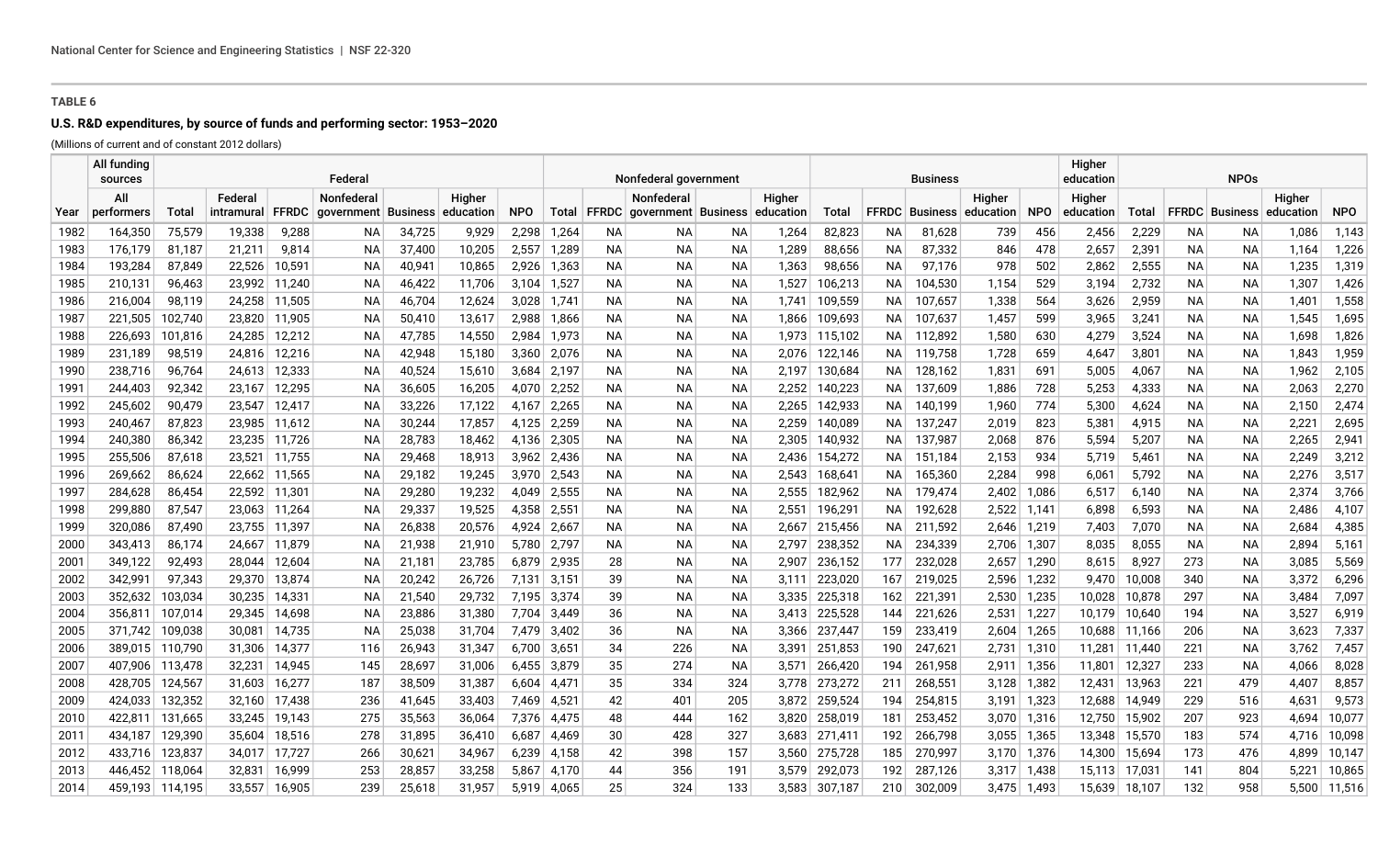## **U.S. R&D expenditures, by source of funds and performing sector: 1953–2020**

(Millions of current and of constant 2012 dollars)

|              | All funding<br>sources |                    |                      |                  | Federal                                                |                  |                  |                |                |           | Nonfederal government                                           |            |                |                    |            | <b>Business</b>    |                                           |                | Higher<br>education |                  | <b>NPOs</b> |                                 |                |                  |
|--------------|------------------------|--------------------|----------------------|------------------|--------------------------------------------------------|------------------|------------------|----------------|----------------|-----------|-----------------------------------------------------------------|------------|----------------|--------------------|------------|--------------------|-------------------------------------------|----------------|---------------------|------------------|-------------|---------------------------------|----------------|------------------|
|              | All<br>performers      | Total              | Federal              | <b>FFRDC</b>     | <b>Nonfederal</b><br>qovernment   Business   education |                  | Higher           | <b>NPO</b>     |                |           | Nonfederal<br>Total   FFRDC   government   Business   education |            | Higher         | Total              |            |                    | Higher<br><b>FFRDC</b> Business education | <b>NPO</b>     | Higher<br>education | Total            |             | <b>FFRDC</b> Business education | Higher         | <b>NPO</b>       |
| Year<br>1982 | 164,350                | 75,579             | intramural<br>19,338 | 9,288            | NA.                                                    | 34,725           | 9,929            | 2,298          | 1,264          | NA.       | NA.                                                             | ΝA         | 1,264          | 82,823             | <b>NA</b>  | 81,628             | 739                                       | 456            | 2,456               | 2,229            | <b>NA</b>   | ΝA                              | 1,086          | 1,143            |
| 1983         | 176,179                | 81,187             | 21,211               | 9,814            | NA.                                                    | 37,400           | 10,205           | 2,557          | 1,289          | NA.       | <b>NA</b>                                                       | ΝA         | 1,289          | 88,656             | ΝA         | 87,332             | 846                                       | 478            | 2,657               | 2,391            | NA.         | <b>NA</b>                       | 1,164          | 1,226            |
| 1984         | 193,284                | 87,849             | 22,526               | 10,591           | NА                                                     | 40,941           | 10,865           | 2,926          | 1,363          | NA.       | NA                                                              | NА         | 1,363          | 98,656             | ΝA         | 97,176             | 978                                       | 502            | 2,862               | 2,555            | NA.         | ΝA                              | 1,235          | 1,319            |
| 1985         | 210,131                | 96,463             | 23,992               | 11,240           | NA.                                                    | 46,422           | 11,706           | 3,104          | 1,527          | NA.       | NA.                                                             | ΝA         | 1,527          | 106,213            | NA.        | 104,530            | 1,154                                     | 529            | 3,194               | 2,732            | NA.         | ΝA                              | 1,307          | 1,426            |
| 1986         | 216,004                | 98,119             |                      | 24,258 11,505    | NА                                                     | 46,704           | 12,624           | 3,028          | 1,741          | NA.       | NA.                                                             | NА         | 1,741          | 109,559            | NA.        | 107,657            | 1,338                                     | 564            | 3,626               | 2,959            | NA.         | ΝA                              | 1,401          | 1,558            |
| 1987         | 221,505                | 102,740            | 23,820               | 11,905           | <b>NA</b>                                              | 50,410           | 13,617           | 2,988          | 1,866          | NA.       | NA.                                                             | ΝA         | 1,866          | 109,693            | NA.        | 107,637            | 1,457                                     | 599            | 3,965               | 3,241            | NA.         | <b>NA</b>                       | 1,545          | 1,695            |
| 1988         | 226,693                | 101,816            | 24,285               | 12,212           | NА                                                     | 47,785           | 14,550           | 2,984          | 1,973          | NA.       | NA.                                                             | ΝA         | 1,973          | 115,102            | NA.        | 112,892            | 1,580                                     | 630            | 4,279               | 3,524            | NA.         | ΝA                              | 1,698          | 1,826            |
| 1989         | 231,189                | 98,519             | 24,816               | 12,216           | NА                                                     | 42,948           | 15,180           | 3,360          | 2,076          | NА        | NA                                                              | ΝA         | 2,076          | 122,146            | NА         | 119,758            | 1,728                                     | 659            | 4,647               | 3,801            | NА          | ΝA                              | 1,843          | 1,959            |
| 1990         | 238,716                | 96,764             | 24,613               | 12,333           | NA.                                                    | 40,524           | 15,610           | 3,684          | 2,197          | <b>NA</b> | ΝA                                                              | ΝA         | 2,197          | 130,684            | NА         | 128,162            | 1,831                                     | 691            | 5,005               | 4,067            | NA.         | ΝA                              | 1,962          | 2,105            |
| 1991         | 244,403                | 92,342             | 23,167               | 12,295           | NА                                                     | 36,605           | 16,205           | 4,070          | 2,252          | <b>NA</b> | NA                                                              | NА         | 2,252          | 140,223            | NА         | 137,609            | 1,886                                     | 728            | 5,253               | 4,333            | <b>NA</b>   | ΝA                              | 2,063          | 2,270            |
| 1992         | 245,602                | 90,479             | 23,547               | 12,417           | <b>NA</b>                                              | 33,226           | 17,122           | 4,167          | 2,265          | NA.       | NA.                                                             | ΝA         | 2,265          | 142,933            | NA.        | 140,199            | 1,960                                     | 774            | 5,300               | 4,624            | NA.         | <b>NA</b>                       | 2,150          | 2,474            |
| 1993         | 240,467                | 87,823             |                      | 23,985 11,612    | NА                                                     | 30,244           | 17,857           | 4,125          | 2,259          | NA.       | ΝA                                                              | ΝA         | 2,259          | 140,089            | ΝA         | 137,247            | 2,019                                     | 823            | 5,381               | 4,915            | NA.         | ΝA                              | 2,221          | 2,695            |
| 1994         | 240,380                | 86,342             |                      | 23,235 11,726    | <b>NA</b>                                              | 28,783           | 18,462           | 4,136          | 2,305          | NA.       | NA.                                                             | ΝA         | 2,305          | 140,932            | NA.        | 137,987            | 2,068                                     | 876            | 5,594               | 5,207            | NA.         | NA                              | 2,265          | 2,941            |
| 1995         | 255,506                | 87,618             | 23,521               | 11,755           | NА                                                     | 29,468           | 18,913           | 3,962          | 2,436          | NA.       | ΝA                                                              | ΝA         | 2,436          | 154,272            | NA.        | 151,184            | 2,153                                     | 934            | 5,719               | 5,461            | NA.         | ΝA                              | 2,249          | 3,212            |
| 1996         | 269,662                | 86,624             | 22,662               | 11,565           | NА                                                     | 29,182           | 19,245           | 3,970          | 2,543          | NА        | NA                                                              | NA         | 2,543          | 168,641            | ΝA         | 165,360            | 2,284                                     | 998            | 6,061               | 5,792            | NА          | ΝA                              | 2,276          | 3,517            |
| 1997         | 284,628                | 86,454             | 22,592               | 11,301           | NA.                                                    | 29,280           | 19,232           | 4,049          | 2,555          | NA.       | NA.                                                             | ΝA         | 2,555          | 182,962            | ΝA         | 179,474            | 2,402                                     | 1,086          | 6,517               | 6,140            | NA.         | ΝA                              | 2,374          | 3,766            |
| 1998         | 299,880                | 87,547             | 23,063               | 11,264           | NА                                                     | 29,337           | 19,525           | 4,358          | 2,551          | NA.       | ΝA                                                              | ΝA         | 2,551          | 196,291            | NA.        | 192,628            | 2,522                                     | 1,141          | 6,898               | 6,593            | NА          | ΝA                              | 2,486          | 4,107            |
| 1999         | 320,086                | 87,490             | 23,755               | 11,397           | ΝA                                                     | 26,838           | 20,576           | 4,924          | 2,667          | <b>NA</b> | ΝA                                                              | ΝA         | 2,667          | 215,456            | ΝA         | 211,592            | 2,646                                     | 1,219          | 7,403               | 7,070            | NA.         | ΝA                              | 2,684          | 4,385            |
| 2000         | 343,413                | 86,174             | 24,667               | 11,879           | NА                                                     | 21,938           | 21,910           | 5,780          | 2,797          | <b>NA</b> | ΝA                                                              | ΝA         | 2,797          | 238,352            | ΝA         | 234,339            | 2,706                                     | 1,307          | 8,035               | 8,055            | NA.         | ΝA                              | 2,894          | 5,161            |
| 2001         | 349,122                | 92,493             | 28,044               | 12,604           | NА                                                     | 21,181           | 23,785           | 6,879          | 2,935          | 28        | NA                                                              | NА         | 2,907          | 236,152            | 177        | 232,028            | 2,657                                     | 1,290          | 8,615               | 8,927            | 273         | ΝA                              | 3,085          | 5,569            |
| 2002         | 342,991                | 97,343             | 29,370               | 13,874           | NА                                                     | 20,242           | 26,726           | 7,131          | 3,151          | 39        | NA.                                                             | NA.        | 3,111          | 223,020            | 167        | 219,025            | 2,596                                     | 1,232          | 9,470               | 10,008           | 340         | ΝA                              | 3,372          | 6,296            |
| 2003         | 352,632                | 103,034            | 30,235               | 14,331           | NА                                                     | 21,540           | 29,732           | 7,195          | 3,374          | 39        | NA                                                              | NА         | 3,335          | 225,318            | 162        | 221,391            | 2,530                                     | 1,235          | 10,028              | 10,878           | 297         | NA                              | 3,484          | 7,097            |
| 2004         | 356,811                | 107,014            | 29,345               | 14,698           | NА                                                     | 23,886           | 31,380           | 7,704          | 3,449          | 36        | NA.                                                             | ΝA         | 3,413          | 225,528            | 144        | 221,626            | 2,531                                     | 1,227          | 10,179              | 10,640           | 194         | ΝA                              | 3,527          | 6,919            |
| 2005         | 371,742                | 109,038            | 30,081               | 14,735           | NА                                                     | 25,038           | 31,704           | 7,479          | 3,402          | 36        | NA.                                                             | ΝA         | 3,366          | 237,447            | 159        | 233,419            | 2,604                                     | 1,265          | 10,688              | 11,166           | 206         | ΝA                              | 3,623          | 7,337            |
| 2006         | 389,015 110,790        |                    | 31,306               | 14,377           | 116                                                    | 26,943           | 31,347           | 6,700          | 3,651          | 34        | 226                                                             | NА         | 3,391          | 251,853            | 190        | 247,621            | 2,731                                     | 1,310          | 11,281              | 11,440           | 221         | NA.                             | 3,762          | 7,457            |
| 2007         | 407,906 113,478        |                    | 32,231               | 14,945           | 145                                                    | 28,697           | 31,006           | 6,455          | 3,879          | 35        | 274                                                             | ΝA         | 3,571          | 266,420            | 194        | 261,958            | 2,911                                     | 1,356          | 11,801              | 12,327           | 233         | ΝA                              | 4,066          | 8,028            |
| 2008         | 428,705                | 124,567            | 31,603               | 16,277           | 187                                                    | 38,509           | 31,387           | 6,604          | 4,471          | 35        | 334                                                             | 324        | 3,778          | 273,272            | 211        | 268,551            | 3,128                                     | 1,382          | 12,431              | 13,963           | 221         | 479                             | 4,407          | 8,857            |
| 2009         | 424,033                | 132,352            | 32,160               | 17,438           | 236                                                    | 41,645           | 33,403           | 7,469          | 4,521          | 42        | 401                                                             | 205        | 3,872          | 259,524            | 194        | 254,815            | 3,191                                     | 1,323          | 12,688              | 14,949           | 229         | 516                             | 4,631          | 9,573            |
| 2010         | 422,811                | 131,665            | 33,245               | 19,143           | 275                                                    | 35,563           | 36,064           | 7,376          | 4,475          | 48        | 444                                                             | 162        | 3,820          | 258,019            | 181        | 253,452            | 3,070                                     | 1,316          | 12,750              | 15,902           | 207         | 923                             | 4,694          | 10,077           |
| 2011         | 434,187<br>433,716     | 129,390<br>123,837 | 35,604               | 18,516<br>17,727 | 278                                                    | 31,895<br>30,621 | 36,410<br>34,967 | 6,687<br>6,239 | 4,469<br>4,158 | 30<br>42  | 428                                                             | 327<br>157 | 3,683          | 271,411<br>275,728 | 192<br>185 | 266,798<br>270,997 | 3,055<br>3,170                            | 1,365<br>1,376 | 13,348<br>14,300    | 15,570<br>15,694 | 183<br>173  | 574<br>476                      | 4,716<br>4,899 | 10,098<br>10,147 |
| 2012         | 446,452                | 118,064            | 34,017<br>32,831     | 16,999           | 266                                                    | 28,857           | 33,258           | 5,867          | 4,170          | 44        | 398                                                             | 191        | 3,560<br>3,579 | 292,073            | 192        | 287,126            |                                           |                | 15,113              |                  | 141         | 804                             | 5,221          | 10,865           |
| 2013         |                        |                    | 33,557               |                  | 253<br>239                                             | 25,618           | 31,957           | 5.919          |                | 25        | 356<br>324                                                      | 133        |                |                    |            |                    | 3,317                                     | 1,438          |                     | $17,03^{\circ}$  | 132         | 958                             | 5,500          |                  |
| 2014         |                        | 459,193 114,195    |                      | 16,905           |                                                        |                  |                  |                | 4,065          |           |                                                                 |            | 3,583          | 307,187            | 210        | 302,009            | 3,475                                     | 1,493          | 15,639              | 18,107           |             |                                 |                | 11,516           |